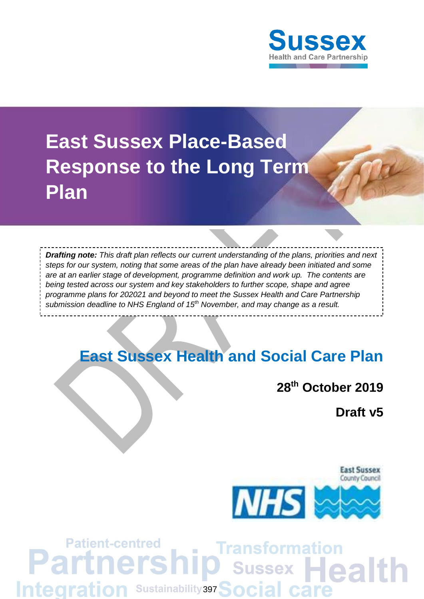

# **East Sussex Place-Based Response to the Long Term Plan**

*Drafting note: This draft plan reflects our current understanding of the plans, priorities and next steps for our system, noting that some areas of the plan have already been initiated and some are at an earlier stage of development, programme definition and work up. The contents are being tested across our system and key stakeholders to further scope, shape and agree programme plans for 202021 and beyond to meet the Sussex Health and Care Partnership submission deadline to NHS England of 15th November, and may change as a result.* 

# **East Sussex Health and Social Care Plan**

# **28th October 2019**

**Draft v5**



# **Patient-centred** Transformation ers Partr O Sussex Health **Integration Sustainability 397 Social care**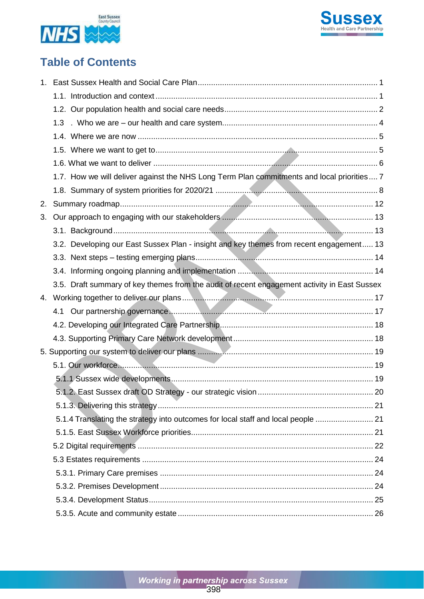



# **Table of Contents**

|    | 1.3                                                                                          |  |
|----|----------------------------------------------------------------------------------------------|--|
|    |                                                                                              |  |
|    |                                                                                              |  |
|    |                                                                                              |  |
|    | 1.7. How we will deliver against the NHS Long Term Plan commitments and local priorities 7   |  |
|    |                                                                                              |  |
| 2. |                                                                                              |  |
| 3. |                                                                                              |  |
|    |                                                                                              |  |
|    | 3.2. Developing our East Sussex Plan - insight and key themes from recent engagement 13      |  |
|    |                                                                                              |  |
|    |                                                                                              |  |
|    | 3.5. Draft summary of key themes from the audit of recent engagement activity in East Sussex |  |
|    |                                                                                              |  |
|    |                                                                                              |  |
|    |                                                                                              |  |
|    |                                                                                              |  |
|    |                                                                                              |  |
|    |                                                                                              |  |
|    |                                                                                              |  |
|    |                                                                                              |  |
|    |                                                                                              |  |
|    | 5.1.4 Translating the strategy into outcomes for local staff and local people  21            |  |
|    |                                                                                              |  |
|    |                                                                                              |  |
|    |                                                                                              |  |
|    |                                                                                              |  |
|    |                                                                                              |  |
|    |                                                                                              |  |
|    |                                                                                              |  |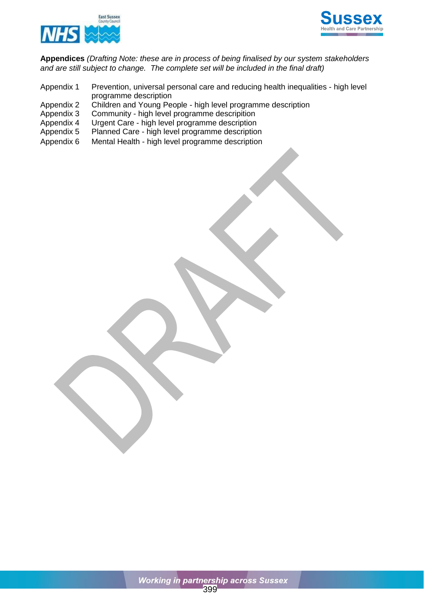



**Appendices** *(Drafting Note: these are in process of being finalised by our system stakeholders and are still subject to change. The complete set will be included in the final draft)*

- Appendix 1 Prevention, universal personal care and reducing health inequalities high level programme description
- Appendix 2 Children and Young People high level programme description
- Appendix 3 Community high level programme descripition<br>Appendix 4 Urgent Care high level programme description
- Urgent Care high level programme description
- Appendix 5 Planned Care high level programme description
- Appendix 6 Mental Health high level programme description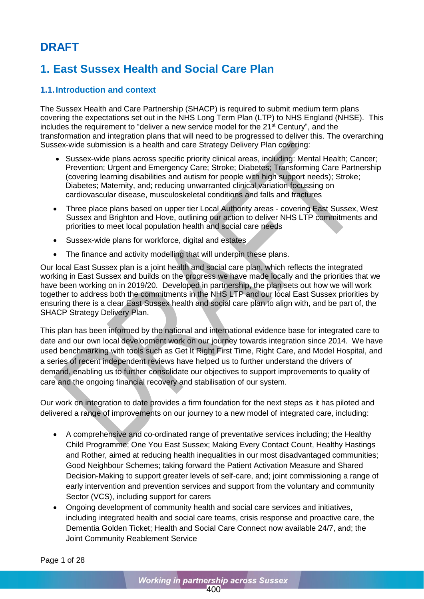# **DRAFT**

# <span id="page-3-0"></span>**1. East Sussex Health and Social Care Plan**

### <span id="page-3-1"></span>**1.1.Introduction and context**

The Sussex Health and Care Partnership (SHACP) is required to submit medium term plans covering the expectations set out in the NHS Long Term Plan (LTP) to NHS England (NHSE). This includes the requirement to "deliver a new service model for the 21<sup>st</sup> Century", and the transformation and integration plans that will need to be progressed to deliver this. The overarching Sussex-wide submission is a health and care Strategy Delivery Plan covering:

- Sussex-wide plans across specific priority clinical areas, including: Mental Health; Cancer; Prevention; Urgent and Emergency Care; Stroke; Diabetes; Transforming Care Partnership (covering learning disabilities and autism for people with high support needs); Stroke; Diabetes; Maternity, and; reducing unwarranted clinical variation focussing on cardiovascular disease, musculoskeletal conditions and falls and fractures
- Three place plans based on upper tier Local Authority areas covering East Sussex, West Sussex and Brighton and Hove, outlining our action to deliver NHS LTP commitments and priorities to meet local population health and social care needs
- Sussex-wide plans for workforce, digital and estates
- The finance and activity modelling that will underpin these plans.

Our local East Sussex plan is a joint health and social care plan, which reflects the integrated working in East Sussex and builds on the progress we have made locally and the priorities that we have been working on in 2019/20. Developed in partnership, the plan sets out how we will work together to address both the commitments in the NHS LTP and our local East Sussex priorities by ensuring there is a clear East Sussex health and social care plan to align with, and be part of, the SHACP Strategy Delivery Plan.

This plan has been informed by the national and international evidence base for integrated care to date and our own local development work on our journey towards integration since 2014. We have used benchmarking with tools such as Get It Right First Time, Right Care, and Model Hospital, and a series of recent independent reviews have helped us to further understand the drivers of demand, enabling us to further consolidate our objectives to support improvements to quality of care and the ongoing financial recovery and stabilisation of our system.

Our work on integration to date provides a firm foundation for the next steps as it has piloted and delivered a range of improvements on our journey to a new model of integrated care, including:

- A comprehensive and co-ordinated range of preventative services including; the Healthy Child Programme; One You East Sussex; Making Every Contact Count, Healthy Hastings and Rother, aimed at reducing health inequalities in our most disadvantaged communities; Good Neighbour Schemes; taking forward the Patient Activation Measure and Shared Decision-Making to support greater levels of self-care, and; joint commissioning a range of early intervention and prevention services and support from the voluntary and community Sector (VCS), including support for carers
- Ongoing development of community health and social care services and initiatives, including integrated health and social care teams, crisis response and proactive care, the Dementia Golden Ticket; Health and Social Care Connect now available 24/7, and; the Joint Community Reablement Service

Page 1 of 28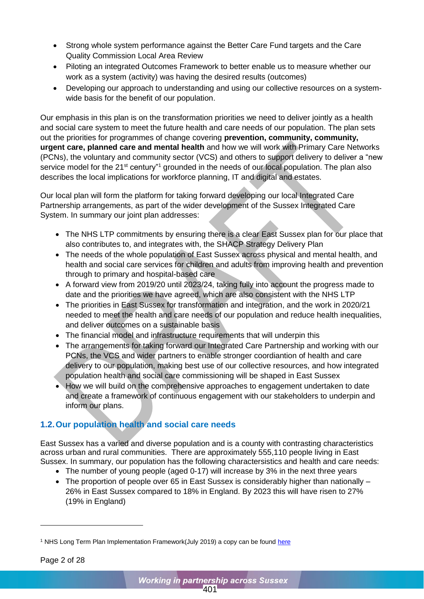- Strong whole system performance against the Better Care Fund targets and the Care Quality Commission Local Area Review
- Piloting an integrated Outcomes Framework to better enable us to measure whether our work as a system (activity) was having the desired results (outcomes)
- Developing our approach to understanding and using our collective resources on a systemwide basis for the benefit of our population.

Our emphasis in this plan is on the transformation priorities we need to deliver jointly as a health and social care system to meet the future health and care needs of our population. The plan sets out the priorities for programmes of change covering **prevention, community, community, urgent care, planned care and mental health** and how we will work with Primary Care Networks (PCNs), the voluntary and community sector (VCS) and others to support delivery to deliver a "new service model for the 21<sup>st</sup> century<sup>"1</sup> grounded in the needs of our local population. The plan also describes the local implications for workforce planning, IT and digital and estates.

Our local plan will form the platform for taking forward developing our local Integrated Care Partnership arrangements, as part of the wider development of the Sussex Integrated Care System. In summary our joint plan addresses:

- The NHS LTP commitments by ensuring there is a clear East Sussex plan for our place that also contributes to, and integrates with, the SHACP Strategy Delivery Plan
- The needs of the whole population of East Sussex across physical and mental health, and health and social care services for children and adults from improving health and prevention through to primary and hospital-based care
- A forward view from 2019/20 until 2023/24, taking fully into account the progress made to date and the priorities we have agreed, which are also consistent with the NHS LTP
- The priorities in East Sussex for transformation and integration, and the work in 2020/21 needed to meet the health and care needs of our population and reduce health inequalities, and deliver outcomes on a sustainable basis
- The financial model and infrastructure requirements that will underpin this
- The arrangements for taking forward our Integrated Care Partnership and working with our PCNs, the VCS and wider partners to enable stronger coordiantion of health and care delivery to our population, making best use of our collective resources, and how integrated population health and social care commissioning will be shaped in East Sussex
- How we will build on the comprehensive approaches to engagement undertaken to date and create a framework of continuous engagement with our stakeholders to underpin and inform our plans.

# <span id="page-4-0"></span>**1.2.Our population health and social care needs**

East Sussex has a varied and diverse population and is a county with contrasting characteristics across urban and rural communities. There are approximately 555,110 people living in East Sussex. In summary, our population has the following charactersistics and health and care needs:

- The number of young people (aged 0-17) will increase by 3% in the next three years
- The proportion of people over 65 in East Sussex is considerably higher than nationally 26% in East Sussex compared to 18% in England. By 2023 this will have risen to 27% (19% in England)

-

<sup>&</sup>lt;sup>1</sup> NHS Long Term Plan Implementation Framework(July 2019) a copy can be found [here](https://www.longtermplan.nhs.uk/implementation-framework/)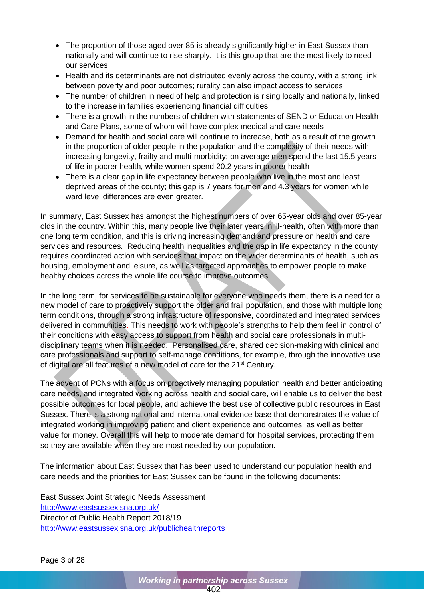- The proportion of those aged over 85 is already significantly higher in East Sussex than nationally and will continue to rise sharply. It is this group that are the most likely to need our services
- Health and its determinants are not distributed evenly across the county, with a strong link between poverty and poor outcomes; rurality can also impact access to services
- The number of children in need of help and protection is rising locally and nationally, linked to the increase in families experiencing financial difficulties
- There is a growth in the numbers of children with statements of SEND or Education Health and Care Plans, some of whom will have complex medical and care needs
- Demand for health and social care will continue to increase, both as a result of the growth in the proportion of older people in the population and the complexity of their needs with increasing longevity, frailty and multi-morbidity; on average men spend the last 15.5 years of life in poorer health, while women spend 20.2 years in poorer health
- There is a clear gap in life expectancy between people who live in the most and least deprived areas of the county; this gap is 7 years for men and 4.3 years for women while ward level differences are even greater.

In summary, East Sussex has amongst the highest numbers of over 65-year olds and over 85-year olds in the country. Within this, many people live their later years in ill-health, often with more than one long term condition, and this is driving increasing demand and pressure on health and care services and resources. Reducing health inequalities and the gap in life expectancy in the county requires coordinated action with services that impact on the wider determinants of health, such as housing, employment and leisure, as well as targeted approaches to empower people to make healthy choices across the whole life course to improve outcomes.

In the long term, for services to be sustainable for everyone who needs them, there is a need for a new model of care to proactively support the older and frail population, and those with multiple long term conditions, through a strong infrastructure of responsive, coordinated and integrated services delivered in communities. This needs to work with people's strengths to help them feel in control of their conditions with easy access to support from health and social care professionals in multidisciplinary teams when it is needed. Personalised care, shared decision-making with clinical and care professionals and support to self-manage conditions, for example, through the innovative use of digital are all features of a new model of care for the 21<sup>st</sup> Century.

The advent of PCNs with a focus on proactively managing population health and better anticipating care needs, and integrated working across health and social care, will enable us to deliver the best possible outcomes for local people, and achieve the best use of collective public resources in East Sussex. There is a strong national and international evidence base that demonstrates the value of integrated working in improving patient and client experience and outcomes, as well as better value for money. Overall this will help to moderate demand for hospital services, protecting them so they are available when they are most needed by our population.

The information about East Sussex that has been used to understand our population health and care needs and the priorities for East Sussex can be found in the following documents:

East Sussex Joint Strategic Needs Assessment <http://www.eastsussexjsna.org.uk/> Director of Public Health Report 2018/19 <http://www.eastsussexjsna.org.uk/publichealthreports>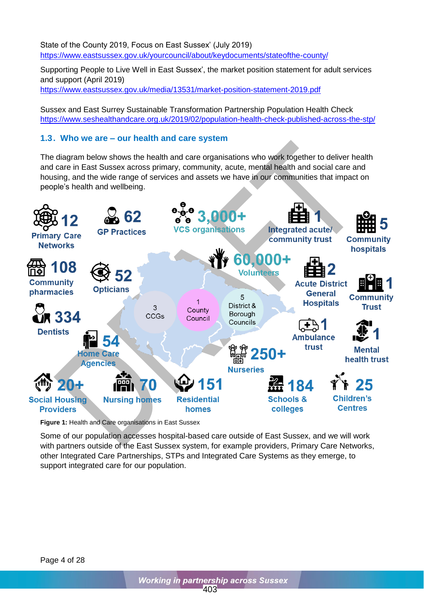State of the County 2019, Focus on East Sussex' (July 2019) <https://www.eastsussex.gov.uk/yourcouncil/about/keydocuments/stateofthe-county/>

Supporting People to Live Well in East Sussex', the market position statement for adult services and support (April 2019) <https://www.eastsussex.gov.uk/media/13531/market-position-statement-2019.pdf>

Sussex and East Surrey Sustainable Transformation Partnership Population Health Check <https://www.seshealthandcare.org.uk/2019/02/population-health-check-published-across-the-stp/>

### <span id="page-6-0"></span>**1.3. Who we are – our health and care system**

The diagram below shows the health and care organisations who work together to deliver health and care in East Sussex across primary, community, acute, mental health and social care and housing, and the wide range of services and assets we have in our communities that impact on people's health and wellbeing.



**Figure 1:** Health and Care organisations in East Sussex

Some of our population accesses hospital-based care outside of East Sussex, and we will work with partners outside of the East Sussex system, for example providers, Primary Care Networks, other Integrated Care Partnerships, STPs and Integrated Care Systems as they emerge, to support integrated care for our population.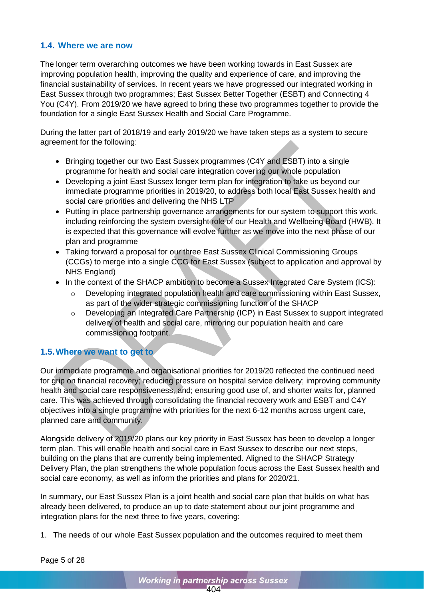### <span id="page-7-0"></span>**1.4. Where we are now**

The longer term overarching outcomes we have been working towards in East Sussex are improving population health, improving the quality and experience of care, and improving the financial sustainability of services. In recent years we have progressed our integrated working in East Sussex through two programmes; East Sussex Better Together (ESBT) and Connecting 4 You (C4Y). From 2019/20 we have agreed to bring these two programmes together to provide the foundation for a single East Sussex Health and Social Care Programme.

During the latter part of 2018/19 and early 2019/20 we have taken steps as a system to secure agreement for the following:

- Bringing together our two East Sussex programmes (C4Y and ESBT) into a single programme for health and social care integration covering our whole population
- Developing a joint East Sussex longer term plan for integration to take us beyond our immediate programme priorities in 2019/20, to address both local East Sussex health and social care priorities and delivering the NHS LTP
- Putting in place partnership governance arrangements for our system to support this work, including reinforcing the system oversight role of our Health and Wellbeing Board (HWB). It is expected that this governance will evolve further as we move into the next phase of our plan and programme
- Taking forward a proposal for our three East Sussex Clinical Commissioning Groups (CCGs) to merge into a single CCG for East Sussex (subject to application and approval by NHS England)
- In the context of the SHACP ambition to become a Sussex Integrated Care System (ICS):
	- Developing integrated population health and care commissioning within East Sussex, as part of the wider strategic commissioning function of the SHACP
	- o Developing an Integrated Care Partnership (ICP) in East Sussex to support integrated delivery of health and social care, mirroring our population health and care commissioning footprint.

## <span id="page-7-1"></span>**1.5.Where we want to get to**

Our immediate programme and organisational priorities for 2019/20 reflected the continued need for grip on financial recovery; reducing pressure on hospital service delivery; improving community health and social care responsiveness, and; ensuring good use of, and shorter waits for, planned care. This was achieved through consolidating the financial recovery work and ESBT and C4Y objectives into a single programme with priorities for the next 6-12 months across urgent care, planned care and community.

Alongside delivery of 2019/20 plans our key priority in East Sussex has been to develop a longer term plan. This will enable health and social care in East Sussex to describe our next steps, building on the plans that are currently being implemented. Aligned to the SHACP Strategy Delivery Plan, the plan strengthens the whole population focus across the East Sussex health and social care economy, as well as inform the priorities and plans for 2020/21.

In summary, our East Sussex Plan is a joint health and social care plan that builds on what has already been delivered, to produce an up to date statement about our joint programme and integration plans for the next three to five years, covering:

1. The needs of our whole East Sussex population and the outcomes required to meet them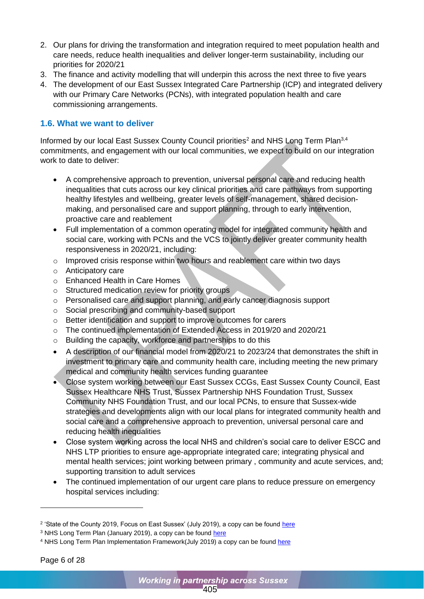- 2. Our plans for driving the transformation and integration required to meet population health and care needs, reduce health inequalities and deliver longer-term sustainability, including our priorities for 2020/21
- 3. The finance and activity modelling that will underpin this across the next three to five years
- 4. The development of our East Sussex Integrated Care Partnership (ICP) and integrated delivery with our Primary Care Networks (PCNs), with integrated population health and care commissioning arrangements.

### <span id="page-8-0"></span>**1.6. What we want to deliver**

Informed by our local East Sussex County Council priorities<sup>2</sup> and NHS Long Term Plan<sup>3,4</sup> commitments, and engagement with our local communities, we expect to build on our integration work to date to deliver:

- A comprehensive approach to prevention, universal personal care and reducing health inequalities that cuts across our key clinical priorities and care pathways from supporting healthy lifestyles and wellbeing, greater levels of self-management, shared decisionmaking, and personalised care and support planning, through to early intervention, proactive care and reablement
- Full implementation of a common operating model for integrated community health and social care, working with PCNs and the VCS to jointly deliver greater community health responsiveness in 2020/21, including:
- o Improved crisis response within two hours and reablement care within two days
- o Anticipatory care
- o Enhanced Health in Care Homes
- o Structured medication review for priority groups
- o Personalised care and support planning, and early cancer diagnosis support
- o Social prescribing and community-based support
- o Better identification and support to improve outcomes for carers
- o The continued implementation of Extended Access in 2019/20 and 2020/21
- o Building the capacity, workforce and partnerships to do this
- A description of our financial model from 2020/21 to 2023/24 that demonstrates the shift in investment to primary care and community health care, including meeting the new primary medical and community health services funding guarantee
- Close system working between our East Sussex CCGs, East Sussex County Council, East Sussex Healthcare NHS Trust, Sussex Partnership NHS Foundation Trust, Sussex Community NHS Foundation Trust, and our local PCNs, to ensure that Sussex-wide strategies and developments align with our local plans for integrated community health and social care and a comprehensive approach to prevention, universal personal care and reducing health inequalities
- Close system working across the local NHS and children's social care to deliver ESCC and NHS LTP priorities to ensure age-appropriate integrated care; integrating physical and mental health services; joint working between primary , community and acute services, and; supporting transition to adult services
- The continued implementation of our urgent care plans to reduce pressure on emergency hospital services including:

-

<sup>&</sup>lt;sup>2</sup> 'State of the County 2019, Focus on East Sussex' (July 2019), a copy can be found <u>here</u>

<sup>&</sup>lt;sup>3</sup> NHS Long Term Plan (January 2019), a copy can be found [here](https://www.england.nhs.uk/long-term-plan/)

<sup>&</sup>lt;sup>4</sup> NHS Long Term Plan Implementation Framework(July 2019) a copy can be found [here](https://www.longtermplan.nhs.uk/implementation-framework/)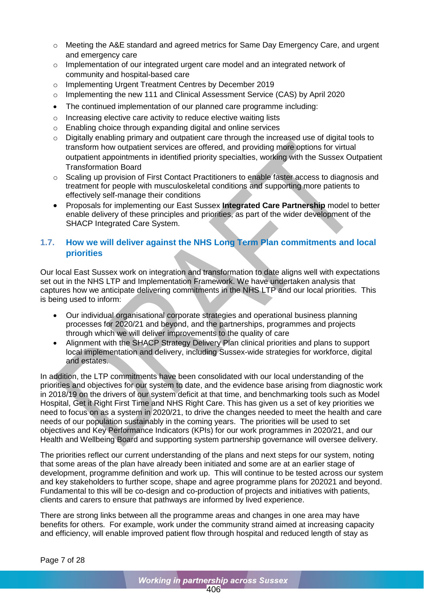- o Meeting the A&E standard and agreed metrics for Same Day Emergency Care, and urgent and emergency care
- o Implementation of our integrated urgent care model and an integrated network of community and hospital-based care
- o Implementing Urgent Treatment Centres by December 2019
- o Implementing the new 111 and Clinical Assessment Service (CAS) by April 2020
- The continued implementation of our planned care programme including:
- o Increasing elective care activity to reduce elective waiting lists
- o Enabling choice through expanding digital and online services
- o Digitally enabling primary and outpatient care through the increased use of digital tools to transform how outpatient services are offered, and providing more options for virtual outpatient appointments in identified priority specialties, working with the Sussex Outpatient Transformation Board
- o Scaling up provision of First Contact Practitioners to enable faster access to diagnosis and treatment for people with musculoskeletal conditions and supporting more patients to effectively self-manage their conditions
- Proposals for implementing our East Sussex **Integrated Care Partnership** model to better enable delivery of these principles and priorities, as part of the wider development of the SHACP Integrated Care System.

### <span id="page-9-0"></span>**1.7. How we will deliver against the NHS Long Term Plan commitments and local priorities**

Our local East Sussex work on integration and transformation to date aligns well with expectations set out in the NHS LTP and Implementation Framework. We have undertaken analysis that captures how we anticipate delivering commitments in the NHS LTP and our local priorities. This is being used to inform:

- Our individual organisational corporate strategies and operational business planning processes for 2020/21 and beyond, and the partnerships, programmes and projects through which we will deliver improvements to the quality of care
- Alignment with the SHACP Strategy Delivery Plan clinical priorities and plans to support local implementation and delivery, including Sussex-wide strategies for workforce, digital and estates.

In addition, the LTP commitments have been consolidated with our local understanding of the priorities and objectives for our system to date, and the evidence base arising from diagnostic work in 2018/19 on the drivers of our system deficit at that time, and benchmarking tools such as Model Hospital, Get it Right First Time and NHS Right Care. This has given us a set of key priorities we need to focus on as a system in 2020/21, to drive the changes needed to meet the health and care needs of our population sustainably in the coming years. The priorities will be used to set objectives and Key Performance Indicators (KPIs) for our work programmes in 2020/21, and our Health and Wellbeing Board and supporting system partnership governance will oversee delivery.

The priorities reflect our current understanding of the plans and next steps for our system, noting that some areas of the plan have already been initiated and some are at an earlier stage of development, programme definition and work up. This will continue to be tested across our system and key stakeholders to further scope, shape and agree programme plans for 202021 and beyond. Fundamental to this will be co-design and co-production of projects and initiatives with patients, clients and carers to ensure that pathways are informed by lived experience.

There are strong links between all the programme areas and changes in one area may have benefits for others. For example, work under the community strand aimed at increasing capacity and efficiency, will enable improved patient flow through hospital and reduced length of stay as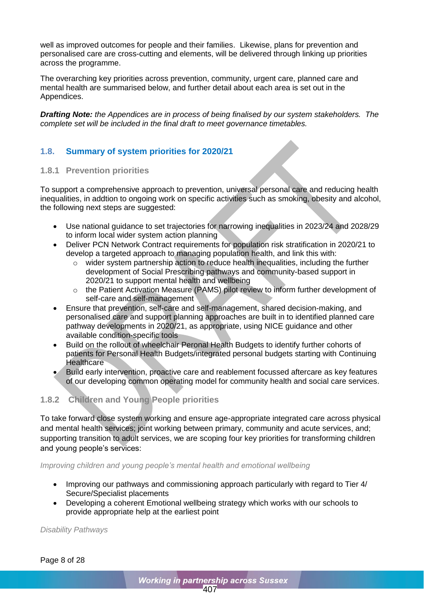well as improved outcomes for people and their families. Likewise, plans for prevention and personalised care are cross-cutting and elements, will be delivered through linking up priorities across the programme.

The overarching key priorities across prevention, community, urgent care, planned care and mental health are summarised below, and further detail about each area is set out in the Appendices.

*Drafting Note: the Appendices are in process of being finalised by our system stakeholders. The complete set will be included in the final draft to meet governance timetables.*

### <span id="page-10-0"></span>**1.8. Summary of system priorities for 2020/21**

### **1.8.1 Prevention priorities**

To support a comprehensive approach to prevention, universal personal care and reducing health inequalities, in addtion to ongoing work on specific activities such as smoking, obesity and alcohol, the following next steps are suggested:

- Use national guidance to set trajectories for narrowing inequalities in 2023/24 and 2028/29 to inform local wider system action planning
- Deliver PCN Network Contract requirements for population risk stratification in 2020/21 to develop a targeted approach to managing population health, and link this with:
	- o wider system partnership action to reduce health inequalities, including the further development of Social Prescribing pathways and community-based support in 2020/21 to support mental health and wellbeing
	- o the Patient Activation Measure (PAMS) pilot review to inform further development of self-care and self-management
- Ensure that prevention, self-care and self-management, shared decision-making, and personalised care and support planning approaches are built in to identified planned care pathway developments in 2020/21, as appropriate, using NICE guidance and other available condition-specific tools
- Build on the rollout of wheelchair Peronal Health Budgets to identify further cohorts of patients for Personal Health Budgets/integrated personal budgets starting with Continuing **Healthcare**
- Build early intervention, proactive care and reablement focussed aftercare as key features of our developing common operating model for community health and social care services.

### **1.8.2 Children and Young People priorities**

To take forward close system working and ensure age-appropriate integrated care across physical and mental health services; joint working between primary, community and acute services, and; supporting transition to adult services, we are scoping four key priorities for transforming children and young people's services:

*Improving children and young people's mental health and emotional wellbeing*

- Improving our pathways and commissioning approach particularly with regard to Tier 4/ Secure/Specialist placements
- Developing a coherent Emotional wellbeing strategy which works with our schools to provide appropriate help at the earliest point

*Disability Pathways*

Page 8 of 28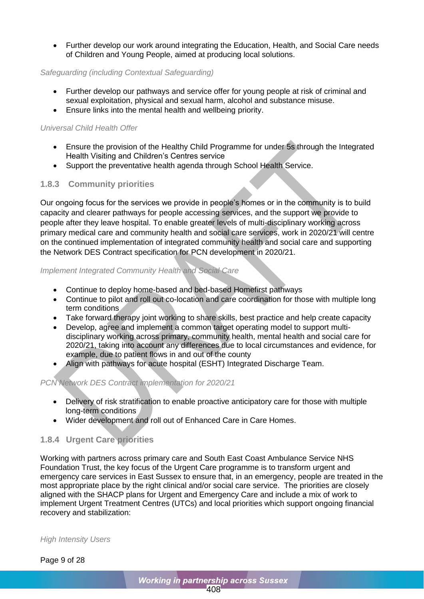• Further develop our work around integrating the Education, Health, and Social Care needs of Children and Young People, aimed at producing local solutions.

### *Safeguarding (including Contextual Safeguarding)*

- Further develop our pathways and service offer for young people at risk of criminal and sexual exploitation, physical and sexual harm, alcohol and substance misuse.
- Ensure links into the mental health and wellbeing priority.

### *Universal Child Health Offer*

- Ensure the provision of the Healthy Child Programme for under 5s through the Integrated Health Visiting and Children's Centres service
- Support the preventative health agenda through School Health Service.

### **1.8.3 Community priorities**

Our ongoing focus for the services we provide in people's homes or in the community is to build capacity and clearer pathways for people accessing services, and the support we provide to people after they leave hospital. To enable greater levels of multi-disciplinary working across primary medical care and community health and social care services, work in 2020/21 will centre on the continued implementation of integrated community health and social care and supporting the Network DES Contract specification for PCN development in 2020/21.

### *Implement Integrated Community Health and Social Care*

- Continue to deploy home-based and bed-based Homefirst pathways
- Continue to pilot and roll out co-location and care coordination for those with multiple long term conditions
- Take forward therapy joint working to share skills, best practice and help create capacity
- Develop, agree and implement a common target operating model to support multidisciplinary working across primary, community health, mental health and social care for 2020/21, taking into account any differences due to local circumstances and evidence, for example, due to patient flows in and out of the county
- Align with pathways for acute hospital (ESHT) Integrated Discharge Team.

### *PCN Network DES Contract implementation for 2020/21*

- Delivery of risk stratification to enable proactive anticipatory care for those with multiple long-term conditions
- Wider development and roll out of Enhanced Care in Care Homes.

### **1.8.4 Urgent Care priorities**

Working with partners across primary care and South East Coast Ambulance Service NHS Foundation Trust, the key focus of the Urgent Care programme is to transform urgent and emergency care services in East Sussex to ensure that, in an emergency, people are treated in the most appropriate place by the right clinical and/or social care service. The priorities are closely aligned with the SHACP plans for Urgent and Emergency Care and include a mix of work to implement Urgent Treatment Centres (UTCs) and local priorities which support ongoing financial recovery and stabilization:

*High Intensity Users*

Page 9 of 28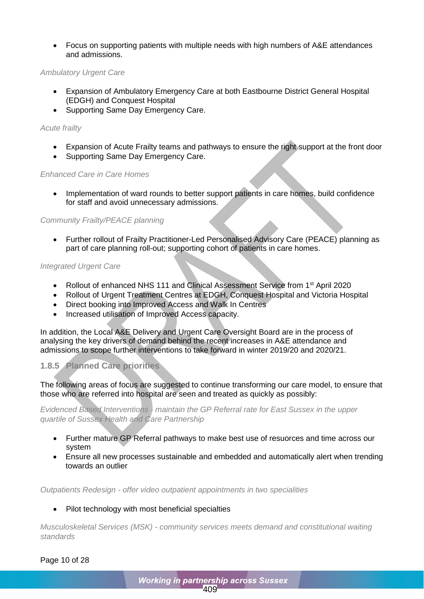• Focus on supporting patients with multiple needs with high numbers of A&E attendances and admissions.

### *Ambulatory Urgent Care*

- Expansion of Ambulatory Emergency Care at both Eastbourne District General Hospital (EDGH) and Conquest Hospital
- Supporting Same Day Emergency Care.

#### *Acute frailty*

- Expansion of Acute Frailty teams and pathways to ensure the right support at the front door
- Supporting Same Day Emergency Care.

#### *Enhanced Care in Care Homes*

• Implementation of ward rounds to better support patients in care homes, build confidence for staff and avoid unnecessary admissions.

### *Community Frailty/PEACE planning*

• Further rollout of Frailty Practitioner-Led Personalised Advisory Care (PEACE) planning as part of care planning roll-out; supporting cohort of patients in care homes.

#### *Integrated Urgent Care*

- Rollout of enhanced NHS 111 and Clinical Assessment Service from 1st April 2020
- Rollout of Urgent Treatment Centres at EDGH, Conquest Hospital and Victoria Hospital
- Direct booking into Improved Access and Walk In Centres
- Increased utilisation of Improved Access capacity.

In addition, the Local A&E Delivery and Urgent Care Oversight Board are in the process of analysing the key drivers of demand behind the recent increases in A&E attendance and admissions to scope further interventions to take forward in winter 2019/20 and 2020/21.

### **1.8.5 Planned Care priorities**

The following areas of focus are suggested to continue transforming our care model, to ensure that those who are referred into hospital are seen and treated as quickly as possibly:

*Evidenced Based Interventions - maintain the GP Referral rate for East Sussex in the upper quartile of Sussex Health and Care Partnership*

- Further mature GP Referral pathways to make best use of resuorces and time across our system
- Ensure all new processes sustainable and embedded and automatically alert when trending towards an outlier

*Outpatients Redesign - offer video outpatient appointments in two specialities*

### Pilot technology with most beneficial specialties

*Musculoskeletal Services (MSK) - community services meets demand and constitutional waiting standards*

Page 10 of 28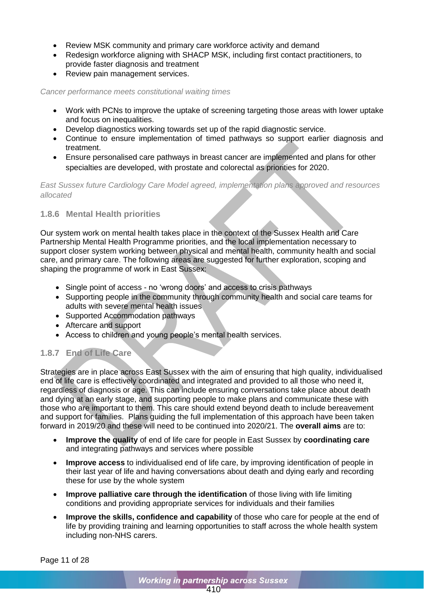- Review MSK community and primary care workforce activity and demand
- Redesign workforce aligning with SHACP MSK, including first contact practitioners, to provide faster diagnosis and treatment
- Review pain management services.

*Cancer performance meets constitutional waiting times*

- Work with PCNs to improve the uptake of screening targeting those areas with lower uptake and focus on inequalities.
- Develop diagnostics working towards set up of the rapid diagnostic service.
- Continue to ensure implementation of timed pathways so support earlier diagnosis and treatment.
- Ensure personalised care pathways in breast cancer are implemented and plans for other specialties are developed, with prostate and colorectal as priorities for 2020.

*East Sussex future Cardiology Care Model agreed, implementation plans approved and resources allocated*

### **1.8.6 Mental Health priorities**

Our system work on mental health takes place in the context of the Sussex Health and Care Partnership Mental Health Programme priorities, and the local implementation necessary to support closer system working between physical and mental health, community health and social care, and primary care. The following areas are suggested for further exploration, scoping and shaping the programme of work in East Sussex:

- Single point of access no 'wrong doors' and access to crisis pathways
- Supporting people in the community through community health and social care teams for adults with severe mental health issues
- Supported Accommodation pathways
- Aftercare and support
- Access to children and young people's mental health services.

## **1.8.7 End of Life Care**

Strategies are in place across East Sussex with the aim of ensuring that high quality, individualised end of life care is effectively coordinated and integrated and provided to all those who need it, regardless of diagnosis or age. This can include ensuring conversations take place about death and dying at an early stage, and supporting people to make plans and communicate these with those who are important to them. This care should extend beyond death to include bereavement and support for families. Plans guiding the full implementation of this approach have been taken forward in 2019/20 and these will need to be continued into 2020/21. The **overall aims** are to:

- **Improve the quality** of end of life care for people in East Sussex by **coordinating care** and integrating pathways and services where possible
- **Improve access** to individualised end of life care, by improving identification of people in their last year of life and having conversations about death and dying early and recording these for use by the whole system
- **Improve palliative care through the identification** of those living with life limiting conditions and providing appropriate services for individuals and their families
- **Improve the skills, confidence and capability** of those who care for people at the end of life by providing training and learning opportunities to staff across the whole health system including non-NHS carers.

Page 11 of 28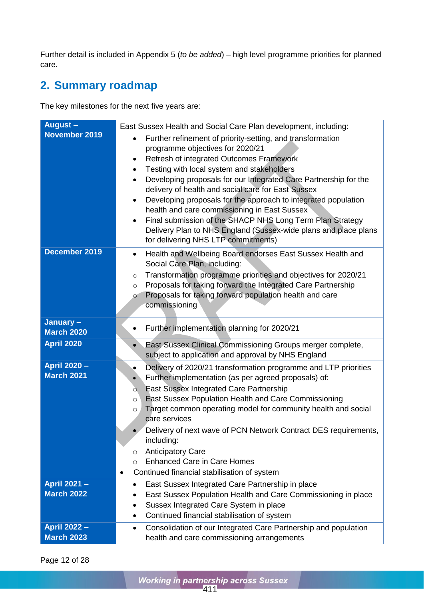Further detail is included in Appendix 5 (*to be added*) – high level programme priorities for planned care.

# <span id="page-14-0"></span>**2. Summary roadmap**

The key milestones for the next five years are:

| August-<br>November 2019                 | East Sussex Health and Social Care Plan development, including:<br>Further refinement of priority-setting, and transformation<br>$\bullet$<br>programme objectives for 2020/21<br>Refresh of integrated Outcomes Framework<br>٠                                                                                                                                                                                                                                                                   |  |  |  |
|------------------------------------------|---------------------------------------------------------------------------------------------------------------------------------------------------------------------------------------------------------------------------------------------------------------------------------------------------------------------------------------------------------------------------------------------------------------------------------------------------------------------------------------------------|--|--|--|
|                                          | Testing with local system and stakeholders<br>$\bullet$<br>Developing proposals for our Integrated Care Partnership for the<br>٠<br>delivery of health and social care for East Sussex<br>Developing proposals for the approach to integrated population<br>٠<br>health and care commissioning in East Sussex<br>Final submission of the SHACP NHS Long Term Plan Strategy<br>$\bullet$<br>Delivery Plan to NHS England (Sussex-wide plans and place plans<br>for delivering NHS LTP commitments) |  |  |  |
| December 2019                            | Health and Wellbeing Board endorses East Sussex Health and<br>$\bullet$<br>Social Care Plan, including:<br>Transformation programme priorities and objectives for 2020/21<br>$\circ$<br>Proposals for taking forward the Integrated Care Partnership<br>O<br>Proposals for taking forward population health and care<br>$\circ$<br>commissioning                                                                                                                                                  |  |  |  |
| January-<br><b>March 2020</b>            | Further implementation planning for 2020/21                                                                                                                                                                                                                                                                                                                                                                                                                                                       |  |  |  |
| <b>April 2020</b>                        | East Sussex Clinical Commissioning Groups merger complete,<br>subject to application and approval by NHS England                                                                                                                                                                                                                                                                                                                                                                                  |  |  |  |
| <b>April 2020 -</b><br><b>March 2021</b> | Delivery of 2020/21 transformation programme and LTP priorities<br>$\bullet$<br>Further implementation (as per agreed proposals) of:<br>$\bullet$<br>East Sussex Integrated Care Partnership<br>Ο.<br>East Sussex Population Health and Care Commissioning<br>$\circ$<br>Target common operating model for community health and social<br>O<br>care services<br>Delivery of next wave of PCN Network Contract DES requirements,                                                                   |  |  |  |
|                                          | including:<br><b>Anticipatory Care</b><br>$\circ$<br><b>Enhanced Care in Care Homes</b><br>$\circ$<br>Continued financial stabilisation of system<br>٠                                                                                                                                                                                                                                                                                                                                            |  |  |  |
| <b>April 2021 -</b><br><b>March 2022</b> | East Sussex Integrated Care Partnership in place<br>$\bullet$<br>East Sussex Population Health and Care Commissioning in place<br>$\bullet$<br>Sussex Integrated Care System in place<br>Continued financial stabilisation of system<br>$\bullet$                                                                                                                                                                                                                                                 |  |  |  |
| <b>April 2022 -</b><br><b>March 2023</b> | Consolidation of our Integrated Care Partnership and population<br>$\bullet$<br>health and care commissioning arrangements                                                                                                                                                                                                                                                                                                                                                                        |  |  |  |

Page 12 of 28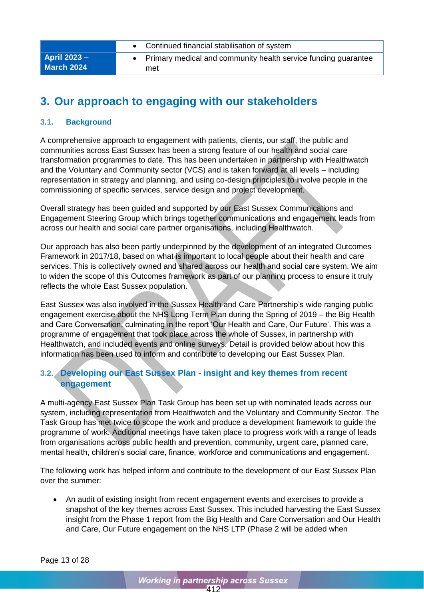|                                          | Continued financial stabilisation of system                           |
|------------------------------------------|-----------------------------------------------------------------------|
| <b>April 2023 –</b><br><b>March 2024</b> | Primary medical and community health service funding guarantee<br>met |

# <span id="page-15-0"></span>**3. Our approach to engaging with our stakeholders**

### <span id="page-15-1"></span>**3.1. Background**

A comprehensive approach to engagement with patients, clients, our staff, the public and communities across East Sussex has been a strong feature of our health and social care transformation programmes to date. This has been undertaken in partnership with Healthwatch and the Voluntary and Community sector (VCS) and is taken forward at all levels – including representation in strategy and planning, and using co-design principles to involve people in the commissioning of specific services, service design and project development.

Overall strategy has been guided and supported by our East Sussex Communications and Engagement Steering Group which brings together communications and engagement leads from across our health and social care partner organisations, including Healthwatch.

Our approach has also been partly underpinned by the development of an integrated Outcomes Framework in 2017/18, based on what is important to local people about their health and care services. This is collectively owned and shared across our health and social care system. We aim to widen the scope of this Outcomes framework as part of our planning process to ensure it truly reflects the whole East Sussex population.

East Sussex was also involved in the Sussex Health and Care Partnership's wide ranging public engagement exercise about the NHS Long Term Plan during the Spring of 2019 – the Big Health and Care Conversation, culminating in the report 'Our Health and Care, Our Future'. This was a programme of engagement that took place across the whole of Sussex, in partnership with Healthwatch, and included events and online surveys. Detail is provided below about how this information has been used to inform and contribute to developing our East Sussex Plan.

# <span id="page-15-2"></span>**3.2. Developing our East Sussex Plan - insight and key themes from recent engagement**

A multi-agency East Sussex Plan Task Group has been set up with nominated leads across our system, including representation from Healthwatch and the Voluntary and Community Sector. The Task Group has met twice to scope the work and produce a development framework to guide the programme of work. Additional meetings have taken place to progress work with a range of leads from organisations across public health and prevention, community, urgent care, planned care, mental health, children's social care, finance, workforce and communications and engagement.

The following work has helped inform and contribute to the development of our East Sussex Plan over the summer:

• An audit of existing insight from recent engagement events and exercises to provide a snapshot of the key themes across East Sussex. This included harvesting the East Sussex insight from the Phase 1 report from the Big Health and Care Conversation and Our Health and Care, Our Future engagement on the NHS LTP (Phase 2 will be added when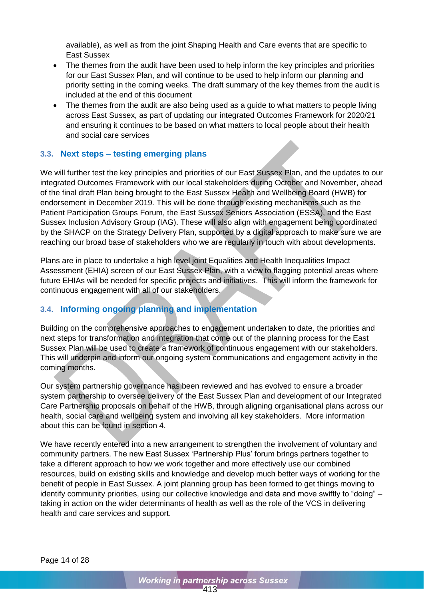available), as well as from the joint Shaping Health and Care events that are specific to East Sussex

- The themes from the audit have been used to help inform the key principles and priorities for our East Sussex Plan, and will continue to be used to help inform our planning and priority setting in the coming weeks. The draft summary of the key themes from the audit is included at the end of this document
- The themes from the audit are also being used as a quide to what matters to people living across East Sussex, as part of updating our integrated Outcomes Framework for 2020/21 and ensuring it continues to be based on what matters to local people about their health and social care services

### <span id="page-16-0"></span>**3.3. Next steps – testing emerging plans**

We will further test the key principles and priorities of our East Sussex Plan, and the updates to our integrated Outcomes Framework with our local stakeholders during October and November, ahead of the final draft Plan being brought to the East Sussex Health and Wellbeing Board (HWB) for endorsement in December 2019. This will be done through existing mechanisms such as the Patient Participation Groups Forum, the East Sussex Seniors Association (ESSA), and the East Sussex Inclusion Advisory Group (IAG). These will also align with engagement being coordinated by the SHACP on the Strategy Delivery Plan, supported by a digital approach to make sure we are reaching our broad base of stakeholders who we are regularly in touch with about developments.

Plans are in place to undertake a high level joint Equalities and Health Inequalities Impact Assessment (EHIA) screen of our East Sussex Plan, with a view to flagging potential areas where future EHIAs will be needed for specific projects and initiatives. This will inform the framework for continuous engagement with all of our stakeholders.

## <span id="page-16-1"></span>**3.4. Informing ongoing planning and implementation**

Building on the comprehensive approaches to engagement undertaken to date, the priorities and next steps for transformation and integration that come out of the planning process for the East Sussex Plan will be used to create a framework of continuous engagement with our stakeholders. This will underpin and inform our ongoing system communications and engagement activity in the coming months.

Our system partnership governance has been reviewed and has evolved to ensure a broader system partnership to oversee delivery of the East Sussex Plan and development of our Integrated Care Partnership proposals on behalf of the HWB, through aligning organisational plans across our health, social care and wellbeing system and involving all key stakeholders. More information about this can be found in section 4.

We have recently entered into a new arrangement to strengthen the involvement of voluntary and community partners. The new East Sussex 'Partnership Plus' forum brings partners together to take a different approach to how we work together and more effectively use our combined resources, build on existing skills and knowledge and develop much better ways of working for the benefit of people in East Sussex. A joint planning group has been formed to get things moving to identify community priorities, using our collective knowledge and data and move swiftly to "doing" – taking in action on the wider determinants of health as well as the role of the VCS in delivering health and care services and support.

Page 14 of 28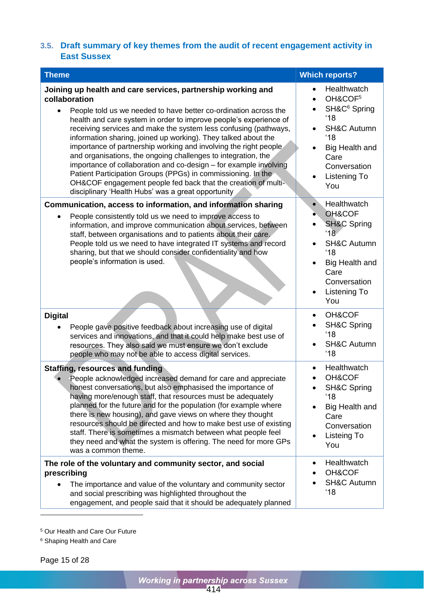### <span id="page-17-0"></span>**3.5. Draft summary of key themes from the audit of recent engagement activity in East Sussex**

| <b>Theme</b>                                                                                                                                                                                                                                                                                                                                                                                                                                                                                                                                                                                                                                                                                                                                                  | <b>Which reports?</b>                                                                                                                                                                                                              |
|---------------------------------------------------------------------------------------------------------------------------------------------------------------------------------------------------------------------------------------------------------------------------------------------------------------------------------------------------------------------------------------------------------------------------------------------------------------------------------------------------------------------------------------------------------------------------------------------------------------------------------------------------------------------------------------------------------------------------------------------------------------|------------------------------------------------------------------------------------------------------------------------------------------------------------------------------------------------------------------------------------|
| Joining up health and care services, partnership working and<br>collaboration<br>People told us we needed to have better co-ordination across the<br>health and care system in order to improve people's experience of<br>receiving services and make the system less confusing (pathways,<br>information sharing, joined up working). They talked about the<br>importance of partnership working and involving the right people<br>and organisations, the ongoing challenges to integration, the<br>importance of collaboration and co-design - for example involving<br>Patient Participation Groups (PPGs) in commissioning. In the<br>OH&COF engagement people fed back that the creation of multi-<br>disciplinary 'Health Hubs' was a great opportunity | Healthwatch<br>$\bullet$<br>OH&COF <sup>5</sup><br>$\bullet$<br>SH&C <sup>6</sup> Spring<br>'18<br><b>SH&amp;C Autumn</b><br>'18<br>Big Health and<br>$\bullet$<br>Care<br>Conversation<br><b>Listening To</b><br>$\bullet$<br>You |
| Communication, access to information, and information sharing                                                                                                                                                                                                                                                                                                                                                                                                                                                                                                                                                                                                                                                                                                 | Healthwatch<br>$\bullet$                                                                                                                                                                                                           |
| People consistently told us we need to improve access to<br>information, and improve communication about services, between<br>staff, between organisations and to patients about their care.<br>People told us we need to have integrated IT systems and record<br>sharing, but that we should consider confidentiality and how<br>people's information is used.                                                                                                                                                                                                                                                                                                                                                                                              | OH&COF<br>۰<br><b>SH&amp;C Spring</b><br>'18<br><b>SH&amp;C Autumn</b><br>'18<br>Big Health and<br>Care<br>Conversation<br>Listening To<br>$\bullet$<br>You                                                                        |
| <b>Digital</b>                                                                                                                                                                                                                                                                                                                                                                                                                                                                                                                                                                                                                                                                                                                                                | OH&COF<br>$\bullet$<br><b>SH&amp;C Spring</b>                                                                                                                                                                                      |
| People gave positive feedback about increasing use of digital<br>services and innovations, and that it could help make best use of<br>resources. They also said we must ensure we don't exclude<br>people who may not be able to access digital services.                                                                                                                                                                                                                                                                                                                                                                                                                                                                                                     | '18<br><b>SH&amp;C Autumn</b><br>'18                                                                                                                                                                                               |
| <b>Staffing, resources and funding</b><br>People acknowledged increased demand for care and appreciate                                                                                                                                                                                                                                                                                                                                                                                                                                                                                                                                                                                                                                                        | Healthwatch<br>$\bullet$<br>OH&COF                                                                                                                                                                                                 |
| honest conversations, but also emphasised the importance of<br>having more/enough staff, that resources must be adequately<br>planned for the future and for the population (for example where<br>there is new housing), and gave views on where they thought<br>resources should be directed and how to make best use of existing<br>staff. There is sometimes a mismatch between what people feel<br>they need and what the system is offering. The need for more GPs<br>was a common theme.                                                                                                                                                                                                                                                                | <b>SH&amp;C Spring</b><br>'18<br>Big Health and<br>Care<br>Conversation<br>Listeing To<br>You                                                                                                                                      |
| The role of the voluntary and community sector, and social<br>prescribing                                                                                                                                                                                                                                                                                                                                                                                                                                                                                                                                                                                                                                                                                     | Healthwatch<br>٠<br>OH&COF                                                                                                                                                                                                         |
| The importance and value of the voluntary and community sector<br>and social prescribing was highlighted throughout the<br>engagement, and people said that it should be adequately planned                                                                                                                                                                                                                                                                                                                                                                                                                                                                                                                                                                   | <b>SH&amp;C Autumn</b><br>'18                                                                                                                                                                                                      |

<sup>5</sup> Our Health and Care Our Future

<sup>6</sup> Shaping Health and Care

Page 15 of 28

-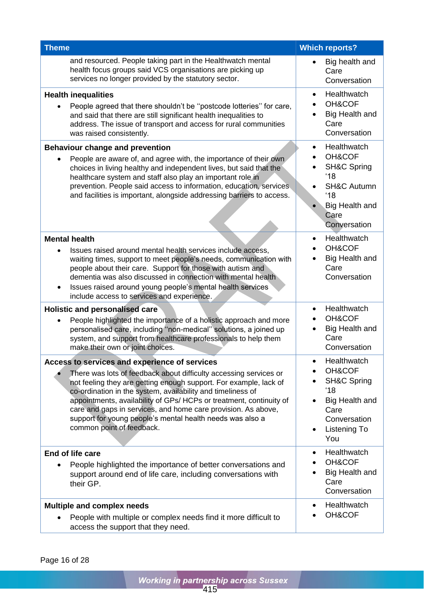| <b>Theme</b>                                                                                                                                                                                                                                                                                                                                                                                                                                                                             | <b>Which reports?</b>                                                                                                                                 |
|------------------------------------------------------------------------------------------------------------------------------------------------------------------------------------------------------------------------------------------------------------------------------------------------------------------------------------------------------------------------------------------------------------------------------------------------------------------------------------------|-------------------------------------------------------------------------------------------------------------------------------------------------------|
| and resourced. People taking part in the Healthwatch mental<br>health focus groups said VCS organisations are picking up<br>services no longer provided by the statutory sector.                                                                                                                                                                                                                                                                                                         | Big health and<br>Care<br>Conversation                                                                                                                |
| <b>Health inequalities</b><br>People agreed that there shouldn't be "postcode lotteries" for care,<br>and said that there are still significant health inequalities to<br>address. The issue of transport and access for rural communities<br>was raised consistently.                                                                                                                                                                                                                   | Healthwatch<br>$\bullet$<br>OH&COF<br>Big Health and<br>Care<br>Conversation                                                                          |
| <b>Behaviour change and prevention</b><br>People are aware of, and agree with, the importance of their own<br>choices in living healthy and independent lives, but said that the<br>healthcare system and staff also play an important role in<br>prevention. People said access to information, education, services<br>and facilities is important, alongside addressing barriers to access.                                                                                            | Healthwatch<br>$\bullet$<br>OH&COF<br><b>SH&amp;C Spring</b><br>'18<br><b>SH&amp;C Autumn</b><br>'18<br><b>Big Health and</b><br>Care<br>Conversation |
| <b>Mental health</b><br>Issues raised around mental health services include access,<br>$\bullet$<br>waiting times, support to meet people's needs, communication with<br>people about their care. Support for those with autism and<br>dementia was also discussed in connection with mental health<br>Issues raised around young people's mental health services<br>include access to services and experience.                                                                          | Healthwatch<br>$\bullet$<br>OH&COF<br>Big Health and<br>Care<br>Conversation                                                                          |
| Holistic and personalised care<br>People highlighted the importance of a holistic approach and more<br>$\bullet$<br>personalised care, including "non-medical" solutions, a joined up<br>system, and support from healthcare professionals to help them<br>make their own or joint choices.                                                                                                                                                                                              | Healthwatch<br>$\bullet$<br>OH&COF<br>Big Health and<br>Care<br>Conversation                                                                          |
| Access to services and experience of services<br>There was lots of feedback about difficulty accessing services or<br>not feeling they are getting enough support. For example, lack of<br>co-ordination in the system, availability and timeliness of<br>appointments, availability of GPs/ HCPs or treatment, continuity of<br>care and gaps in services, and home care provision. As above,<br>support for young people's mental health needs was also a<br>common point of feedback. | Healthwatch<br>OH&COF<br><b>SH&amp;C Spring</b><br>'18<br>Big Health and<br>Care<br>Conversation<br>Listening To<br>$\bullet$<br>You                  |
| End of life care<br>People highlighted the importance of better conversations and<br>support around end of life care, including conversations with<br>their GP.                                                                                                                                                                                                                                                                                                                          | Healthwatch<br>$\bullet$<br>OH&COF<br>Big Health and<br>Care<br>Conversation                                                                          |
| <b>Multiple and complex needs</b><br>People with multiple or complex needs find it more difficult to<br>access the support that they need.                                                                                                                                                                                                                                                                                                                                               | Healthwatch<br>$\bullet$<br>OH&COF                                                                                                                    |

Page 16 of 28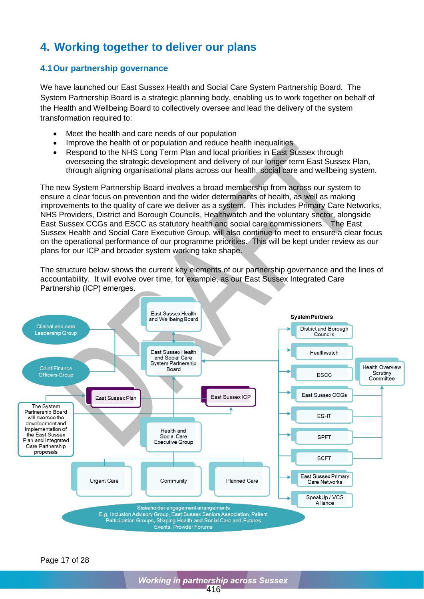# <span id="page-19-0"></span>**4. Working together to deliver our plans**

## <span id="page-19-1"></span>**4.1Our partnership governance**

We have launched our East Sussex Health and Social Care System Partnership Board. The System Partnership Board is a strategic planning body, enabling us to work together on behalf of the Health and Wellbeing Board to collectively oversee and lead the delivery of the system transformation required to:

- Meet the health and care needs of our population
- Improve the health of or population and reduce health inequalities
- Respond to the NHS Long Term Plan and local priorities in East Sussex through overseeing the strategic development and delivery of our longer term East Sussex Plan, through aligning organisational plans across our health, social care and wellbeing system.

The new System Partnership Board involves a broad membership from across our system to ensure a clear focus on prevention and the wider determinants of health, as well as making improvements to the quality of care we deliver as a system. This includes Primary Care Networks, NHS Providers, District and Borough Councils, Healthwatch and the voluntary sector, alongside East Sussex CCGs and ESCC as statutory health and social care commissioners. The East Sussex Health and Social Care Executive Group, will also continue to meet to ensure a clear focus on the operational performance of our programme priorities. This will be kept under review as our plans for our ICP and broader system working take shape.

The structure below shows the current key elements of our partnership governance and the lines of accountability. It will evolve over time, for example, as our East Sussex Integrated Care Partnership (ICP) emerges.



Page 17 of 28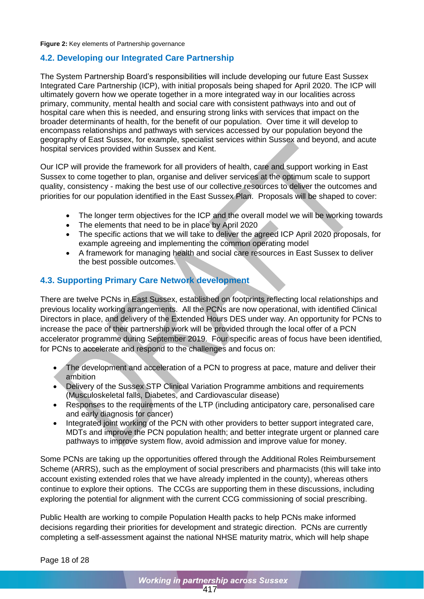#### **Figure 2:** Key elements of Partnership governance

### <span id="page-20-0"></span>**4.2. Developing our Integrated Care Partnership**

The System Partnership Board's responsibilities will include developing our future East Sussex Integrated Care Partnership (ICP), with initial proposals being shaped for April 2020. The ICP will ultimately govern how we operate together in a more integrated way in our localities across primary, community, mental health and social care with consistent pathways into and out of hospital care when this is needed, and ensuring strong links with services that impact on the broader determinants of health, for the benefit of our population. Over time it will develop to encompass relationships and pathways with services accessed by our population beyond the geography of East Sussex, for example, specialist services within Sussex and beyond, and acute hospital services provided within Sussex and Kent.

Our ICP will provide the framework for all providers of health, care and support working in East Sussex to come together to plan, organise and deliver services at the optimum scale to support quality, consistency - making the best use of our collective resources to deliver the outcomes and priorities for our population identified in the East Sussex Plan. Proposals will be shaped to cover:

- The longer term objectives for the ICP and the overall model we will be working towards
- The elements that need to be in place by April 2020
- The specific actions that we will take to deliver the agreed ICP April 2020 proposals, for example agreeing and implementing the common operating model
- A framework for managing health and social care resources in East Sussex to deliver the best possible outcomes.

### <span id="page-20-1"></span>**4.3. Supporting Primary Care Network development**

There are twelve PCNs in East Sussex, established on footprints reflecting local relationships and previous locality working arrangements. All the PCNs are now operational, with identified Clinical Directors in place, and delivery of the Extended Hours DES under way. An opportunity for PCNs to increase the pace of their partnership work will be provided through the local offer of a PCN accelerator programme during September 2019. Four specific areas of focus have been identified, for PCNs to accelerate and respond to the challenges and focus on:

- The development and acceleration of a PCN to progress at pace, mature and deliver their ambition
- Delivery of the Sussex STP Clinical Variation Programme ambitions and requirements (Musculoskeletal falls, Diabetes, and Cardiovascular disease)
- Responses to the requirements of the LTP (including anticipatory care, personalised care and early diagnosis for cancer)
- Integrated joint working of the PCN with other providers to better support integrated care, MDTs and improve the PCN population health; and better integrate urgent or planned care pathways to improve system flow, avoid admission and improve value for money.

Some PCNs are taking up the opportunities offered through the Additional Roles Reimbursement Scheme (ARRS), such as the employment of social prescribers and pharmacists (this will take into account existing extended roles that we have already implented in the county), whereas others continue to explore their options. The CCGs are supporting them in these discussions, including exploring the potential for alignment with the current CCG commissioning of social prescribing.

Public Health are working to compile Population Health packs to help PCNs make informed decisions regarding their priorities for development and strategic direction. PCNs are currently completing a self-assessment against the national NHSE maturity matrix, which will help shape

Page 18 of 28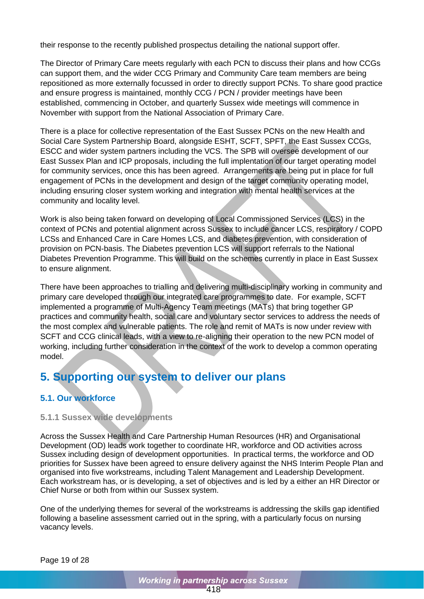their response to the recently published prospectus detailing the national support offer.

The Director of Primary Care meets regularly with each PCN to discuss their plans and how CCGs can support them, and the wider CCG Primary and Community Care team members are being repositioned as more externally focussed in order to directly support PCNs. To share good practice and ensure progress is maintained, monthly CCG / PCN / provider meetings have been established, commencing in October, and quarterly Sussex wide meetings will commence in November with support from the National Association of Primary Care.

There is a place for collective representation of the East Sussex PCNs on the new Health and Social Care System Partnership Board, alongside ESHT, SCFT, SPFT, the East Sussex CCGs, ESCC and wider system partners including the VCS. The SPB will oversee development of our East Sussex Plan and ICP proposals, including the full implentation of our target operating model for community services, once this has been agreed. Arrangements are being put in place for full engagement of PCNs in the development and design of the target community operating model, including ensuring closer system working and integration with mental health services at the community and locality level.

Work is also being taken forward on developing of Local Commissioned Services (LCS) in the context of PCNs and potential alignment across Sussex to include cancer LCS, respiratory / COPD LCSs and Enhanced Care in Care Homes LCS, and diabetes prevention, with consideration of provision on PCN-basis. The Diabetes prevention LCS will support referrals to the National Diabetes Prevention Programme. This will build on the schemes currently in place in East Sussex to ensure alignment.

There have been approaches to trialling and delivering multi-disciplinary working in community and primary care developed through our integrated care programmes to date. For example, SCFT implemented a programme of Multi-Agency Team meetings (MATs) that bring together GP practices and community health, social care and voluntary sector services to address the needs of the most complex and vulnerable patients. The role and remit of MATs is now under review with SCFT and CCG clinical leads, with a view to re-aligning their operation to the new PCN model of working, including further consideration in the context of the work to develop a common operating model.

# <span id="page-21-0"></span>**5. Supporting our system to deliver our plans**

## <span id="page-21-1"></span>**5.1. Our workforce**

### <span id="page-21-2"></span>**5.1.1 Sussex wide developments**

Across the Sussex Health and Care Partnership Human Resources (HR) and Organisational Development (OD) leads work together to coordinate HR, workforce and OD activities across Sussex including design of development opportunities. In practical terms, the workforce and OD priorities for Sussex have been agreed to ensure delivery against the NHS Interim People Plan and organised into five workstreams, including Talent Management and Leadership Development. Each workstream has, or is developing, a set of objectives and is led by a either an HR Director or Chief Nurse or both from within our Sussex system.

One of the underlying themes for several of the workstreams is addressing the skills gap identified following a baseline assessment carried out in the spring, with a particularly focus on nursing vacancy levels.

Page 19 of 28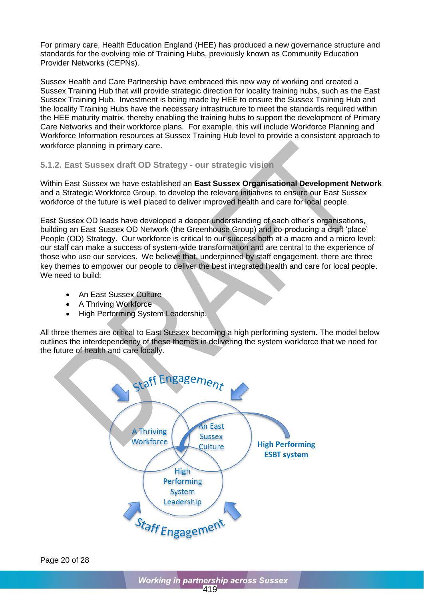For primary care, Health Education England (HEE) has produced a new governance structure and standards for the evolving role of Training Hubs, previously known as Community Education Provider Networks (CEPNs).

Sussex Health and Care Partnership have embraced this new way of working and created a Sussex Training Hub that will provide strategic direction for locality training hubs, such as the East Sussex Training Hub. Investment is being made by HEE to ensure the Sussex Training Hub and the locality Training Hubs have the necessary infrastructure to meet the standards required within the HEE maturity matrix, thereby enabling the training hubs to support the development of Primary Care Networks and their workforce plans. For example, this will include Workforce Planning and Workforce Information resources at Sussex Training Hub level to provide a consistent approach to workforce planning in primary care.

### <span id="page-22-0"></span>**5.1.2. East Sussex draft OD Strategy - our strategic vision**

Within East Sussex we have established an **East Sussex Organisational Development Network** and a Strategic Workforce Group, to develop the relevant initiatives to ensure our East Sussex workforce of the future is well placed to deliver improved health and care for local people.

East Sussex OD leads have developed a deeper understanding of each other's organisations, building an East Sussex OD Network (the Greenhouse Group) and co-producing a draft 'place' People (OD) Strategy. Our workforce is critical to our success both at a macro and a micro level: our staff can make a success of system-wide transformation and are central to the experience of those who use our services. We believe that, underpinned by staff engagement, there are three key themes to empower our people to deliver the best integrated health and care for local people. We need to build:

- An East Sussex Culture
- A Thriving Workforce
- High Performing System Leadership.

All three themes are critical to East Sussex becoming a high performing system. The model below outlines the interdependency of these themes in delivering the system workforce that we need for the future of health and care locally.



Page 20 of 28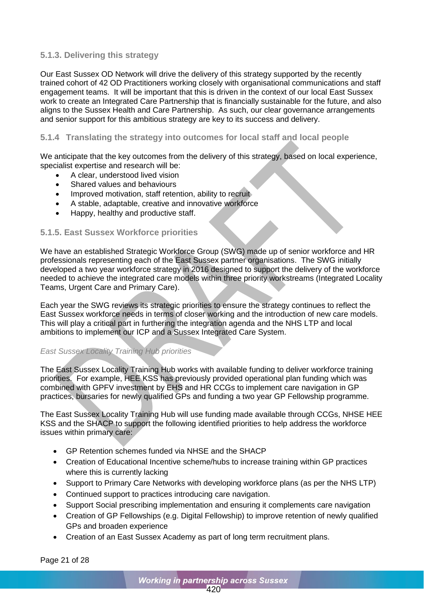### <span id="page-23-0"></span>**5.1.3. Delivering this strategy**

Our East Sussex OD Network will drive the delivery of this strategy supported by the recently trained cohort of 42 OD Practitioners working closely with organisational communications and staff engagement teams. It will be important that this is driven in the context of our local East Sussex work to create an Integrated Care Partnership that is financially sustainable for the future, and also aligns to the Sussex Health and Care Partnership. As such, our clear governance arrangements and senior support for this ambitious strategy are key to its success and delivery.

### <span id="page-23-1"></span>**5.1.4 Translating the strategy into outcomes for local staff and local people**

We anticipate that the key outcomes from the delivery of this strategy, based on local experience, specialist expertise and research will be:

- A clear, understood lived vision
- Shared values and behaviours
- Improved motivation, staff retention, ability to recruit
- A stable, adaptable, creative and innovative workforce
- Happy, healthy and productive staff.

### <span id="page-23-2"></span>**5.1.5. East Sussex Workforce priorities**

We have an established Strategic Workforce Group (SWG) made up of senior workforce and HR professionals representing each of the East Sussex partner organisations. The SWG initially developed a two year workforce strategy in 2016 designed to support the delivery of the workforce needed to achieve the integrated care models within three priority workstreams (Integrated Locality Teams, Urgent Care and Primary Care).

Each year the SWG reviews its strategic priorities to ensure the strategy continues to reflect the East Sussex workforce needs in terms of closer working and the introduction of new care models. This will play a critical part in furthering the integration agenda and the NHS LTP and local ambitions to implement our ICP and a Sussex Integrated Care System.

### *East Sussex Locality Training Hub priorities*

The East Sussex Locality Training Hub works with available funding to deliver workforce training priorities. For example, HEE KSS has previously provided operational plan funding which was combined with GPFV investment by EHS and HR CCGs to implement care navigation in GP practices, bursaries for newly qualified GPs and funding a two year GP Fellowship programme.

The East Sussex Locality Training Hub will use funding made available through CCGs, NHSE HEE KSS and the SHACP to support the following identified priorities to help address the workforce issues within primary care:

- GP Retention schemes funded via NHSE and the SHACP
- Creation of Educational Incentive scheme/hubs to increase training within GP practices where this is currently lacking
- Support to Primary Care Networks with developing workforce plans (as per the NHS LTP)
- Continued support to practices introducing care navigation.
- Support Social prescribing implementation and ensuring it complements care navigation
- Creation of GP Fellowships (e.g. Digital Fellowship) to improve retention of newly qualified GPs and broaden experience
- Creation of an East Sussex Academy as part of long term recruitment plans.

Page 21 of 28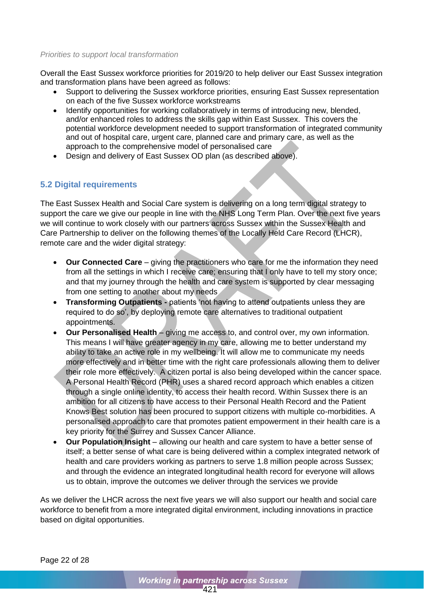#### *Priorities to support local transformation*

Overall the East Sussex workforce priorities for 2019/20 to help deliver our East Sussex integration and transformation plans have been agreed as follows:

- Support to delivering the Sussex workforce priorities, ensuring East Sussex representation on each of the five Sussex workforce workstreams
- Identify opportunities for working collaboratively in terms of introducing new, blended, and/or enhanced roles to address the skills gap within East Sussex. This covers the potential workforce development needed to support transformation of integrated community and out of hospital care, urgent care, planned care and primary care, as well as the approach to the comprehensive model of personalised care
- Design and delivery of East Sussex OD plan (as described above).

### <span id="page-24-0"></span>**5.2 Digital requirements**

The East Sussex Health and Social Care system is delivering on a long term digital strategy to support the care we give our people in line with the NHS Long Term Plan. Over the next five years we will continue to work closely with our partners across Sussex within the Sussex Health and Care Partnership to deliver on the following themes of the Locally Held Care Record (LHCR), remote care and the wider digital strategy:

- **Our Connected Care** giving the practitioners who care for me the information they need from all the settings in which I receive care; ensuring that I only have to tell my story once; and that my journey through the health and care system is supported by clear messaging from one setting to another about my needs
- **Transforming Outpatients -** patients 'not having to attend outpatients unless they are required to do so', by deploying remote care alternatives to traditional outpatient appointments.
- **Our Personalised Health** giving me access to, and control over, my own information. This means I will have greater agency in my care, allowing me to better understand my ability to take an active role in my wellbeing. It will allow me to communicate my needs more effectively and in better time with the right care professionals allowing them to deliver their role more effectively. A citizen portal is also being developed within the cancer space. A Personal Health Record (PHR) uses a shared record approach which enables a citizen through a single online identity, to access their health record. Within Sussex there is an ambition for all citizens to have access to their Personal Health Record and the Patient Knows Best solution has been procured to support citizens with multiple co-morbidities. A personalised approach to care that promotes patient empowerment in their health care is a key priority for the Surrey and Sussex Cancer Alliance.
- **Our Population Insight** allowing our health and care system to have a better sense of itself; a better sense of what care is being delivered within a complex integrated network of health and care providers working as partners to serve 1.8 million people across Sussex; and through the evidence an integrated longitudinal health record for everyone will allows us to obtain, improve the outcomes we deliver through the services we provide

As we deliver the LHCR across the next five years we will also support our health and social care workforce to benefit from a more integrated digital environment, including innovations in practice based on digital opportunities.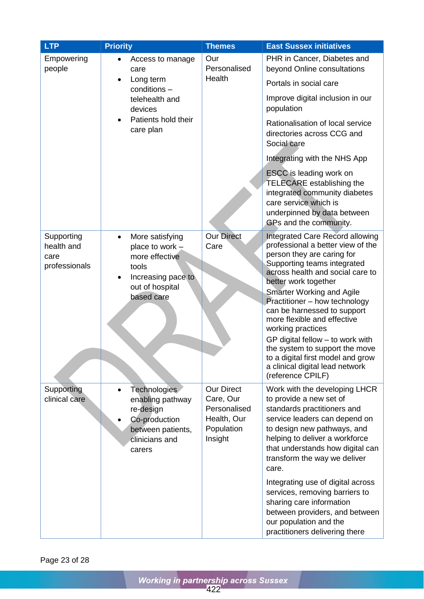| <b>LTP</b>                                        | <b>Priority</b>                                                                                                                                | <b>Themes</b>                                                                          | <b>East Sussex initiatives</b>                                                                                                                                                                                                                                                                                                                                                                                                                                          |
|---------------------------------------------------|------------------------------------------------------------------------------------------------------------------------------------------------|----------------------------------------------------------------------------------------|-------------------------------------------------------------------------------------------------------------------------------------------------------------------------------------------------------------------------------------------------------------------------------------------------------------------------------------------------------------------------------------------------------------------------------------------------------------------------|
| Empowering<br>people                              | Access to manage<br>care<br>Long term<br>conditions -                                                                                          | Our<br>Personalised<br>Health                                                          | PHR in Cancer, Diabetes and<br>beyond Online consultations<br>Portals in social care                                                                                                                                                                                                                                                                                                                                                                                    |
|                                                   | telehealth and<br>devices                                                                                                                      |                                                                                        | Improve digital inclusion in our<br>population                                                                                                                                                                                                                                                                                                                                                                                                                          |
|                                                   | Patients hold their<br>care plan                                                                                                               |                                                                                        | Rationalisation of local service<br>directories across CCG and<br>Social care                                                                                                                                                                                                                                                                                                                                                                                           |
|                                                   |                                                                                                                                                |                                                                                        | Integrating with the NHS App                                                                                                                                                                                                                                                                                                                                                                                                                                            |
|                                                   |                                                                                                                                                |                                                                                        | ESCC is leading work on<br><b>TELECARE</b> establishing the<br>integrated community diabetes<br>care service which is<br>underpinned by data between<br>GPs and the community.                                                                                                                                                                                                                                                                                          |
| Supporting<br>health and<br>care<br>professionals | More satisfying<br>$\bullet$<br>place to work $\overline{z}$<br>more effective<br>tools<br>Increasing pace to<br>out of hospital<br>based care | <b>Our Direct</b><br>Care                                                              | <b>Integrated Care Record allowing</b><br>professional a better view of the<br>person they are caring for<br>Supporting teams integrated<br>across health and social care to<br>better work together<br><b>Smarter Working and Agile</b><br>Practitioner - how technology<br>can be harnessed to support<br>more flexible and effective<br>working practices<br>GP digital fellow - to work with<br>the system to support the move<br>to a digital first model and grow |
|                                                   |                                                                                                                                                |                                                                                        | a clinical digital lead network<br>(reference CPILF)                                                                                                                                                                                                                                                                                                                                                                                                                    |
| Supporting<br>clinical care                       | <b>Technologies</b><br>enabling pathway<br>re-design<br>Co-production<br>between patients,<br>clinicians and<br>carers                         | <b>Our Direct</b><br>Care, Our<br>Personalised<br>Health, Our<br>Population<br>Insight | Work with the developing LHCR<br>to provide a new set of<br>standards practitioners and<br>service leaders can depend on<br>to design new pathways, and<br>helping to deliver a workforce<br>that understands how digital can<br>transform the way we deliver<br>care.                                                                                                                                                                                                  |
|                                                   |                                                                                                                                                |                                                                                        | Integrating use of digital across<br>services, removing barriers to<br>sharing care information<br>between providers, and between<br>our population and the<br>practitioners delivering there                                                                                                                                                                                                                                                                           |

Page 23 of 28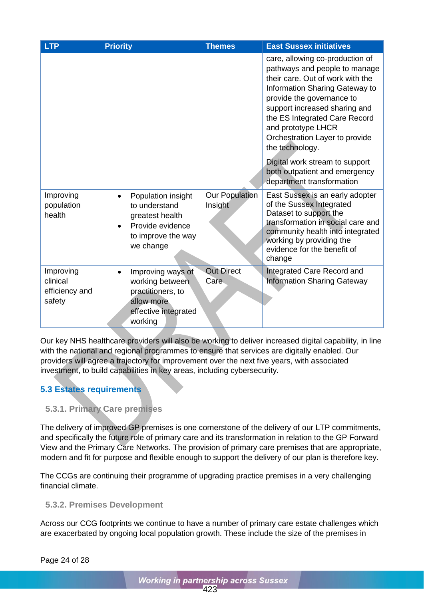| <b>LTP</b>                                        | <b>Priority</b>                                                                                               | <b>Themes</b>                    | <b>East Sussex initiatives</b>                                                                                                                                                                                                                                                                                                                                                                                   |
|---------------------------------------------------|---------------------------------------------------------------------------------------------------------------|----------------------------------|------------------------------------------------------------------------------------------------------------------------------------------------------------------------------------------------------------------------------------------------------------------------------------------------------------------------------------------------------------------------------------------------------------------|
|                                                   |                                                                                                               |                                  | care, allowing co-production of<br>pathways and people to manage<br>their care. Out of work with the<br>Information Sharing Gateway to<br>provide the governance to<br>support increased sharing and<br>the ES Integrated Care Record<br>and prototype LHCR<br>Orchestration Layer to provide<br>the technology.<br>Digital work stream to support<br>both outpatient and emergency<br>department transformation |
| Improving<br>population<br>health                 | Population insight<br>to understand<br>greatest health<br>Provide evidence<br>to improve the way<br>we change | <b>Our Population</b><br>Insight | East Sussex is an early adopter<br>of the Sussex Integrated<br>Dataset to support the<br>transformation in social care and<br>community health into integrated<br>working by providing the<br>evidence for the benefit of<br>change                                                                                                                                                                              |
| Improving<br>clinical<br>efficiency and<br>safety | Improving ways of<br>working between<br>practitioners, to<br>allow more<br>effective integrated<br>working    | <b>Out Direct</b><br>Care        | Integrated Care Record and<br><b>Information Sharing Gateway</b>                                                                                                                                                                                                                                                                                                                                                 |

Our key NHS healthcare providers will also be working to deliver increased digital capability, in line with the national and regional programmes to ensure that services are digitally enabled. Our providers will agree a trajectory for improvement over the next five years, with associated investment, to build capabilities in key areas, including cybersecurity.

# <span id="page-26-0"></span>**5.3 Estates requirements**

## <span id="page-26-1"></span>**5.3.1. Primary Care premises**

The delivery of improved GP premises is one cornerstone of the delivery of our LTP commitments, and specifically the future role of primary care and its transformation in relation to the GP Forward View and the Primary Care Networks. The provision of primary care premises that are appropriate, modern and fit for purpose and flexible enough to support the delivery of our plan is therefore key.

The CCGs are continuing their programme of upgrading practice premises in a very challenging financial climate.

## <span id="page-26-2"></span>**5.3.2. Premises Development**

Across our CCG footprints we continue to have a number of primary care estate challenges which are exacerbated by ongoing local population growth. These include the size of the premises in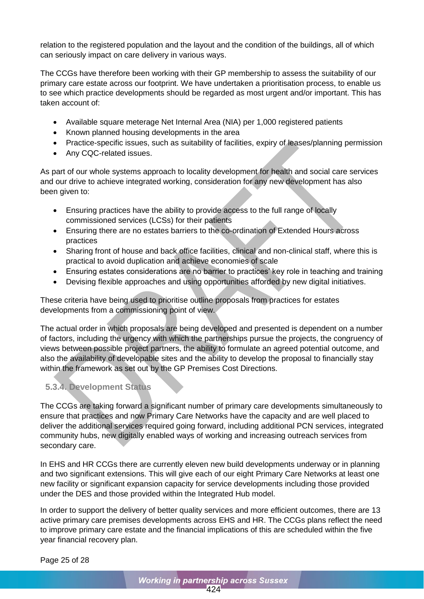relation to the registered population and the layout and the condition of the buildings, all of which can seriously impact on care delivery in various ways.

The CCGs have therefore been working with their GP membership to assess the suitability of our primary care estate across our footprint. We have undertaken a prioritisation process, to enable us to see which practice developments should be regarded as most urgent and/or important. This has taken account of:

- Available square meterage Net Internal Area (NIA) per 1,000 registered patients
- Known planned housing developments in the area
- Practice-specific issues, such as suitability of facilities, expiry of leases/planning permission
- Any CQC-related issues.

As part of our whole systems approach to locality development for health and social care services and our drive to achieve integrated working, consideration for any new development has also been given to:

- Ensuring practices have the ability to provide access to the full range of locally commissioned services (LCSs) for their patients
- Ensuring there are no estates barriers to the co-ordination of Extended Hours across practices
- Sharing front of house and back office facilities, clinical and non-clinical staff, where this is practical to avoid duplication and achieve economies of scale
- Ensuring estates considerations are no barrier to practices' key role in teaching and training
- Devising flexible approaches and using opportunities afforded by new digital initiatives.

These criteria have being used to prioritise outline proposals from practices for estates developments from a commissioning point of view.

The actual order in which proposals are being developed and presented is dependent on a number of factors, including the urgency with which the partnerships pursue the projects, the congruency of views between possible project partners, the ability to formulate an agreed potential outcome, and also the availability of developable sites and the ability to develop the proposal to financially stay within the framework as set out by the GP Premises Cost Directions.

# <span id="page-27-0"></span>**5.3.4. Development Status**

The CCGs are taking forward a significant number of primary care developments simultaneously to ensure that practices and now Primary Care Networks have the capacity and are well placed to deliver the additional services required going forward, including additional PCN services, integrated community hubs, new digitally enabled ways of working and increasing outreach services from secondary care.

In EHS and HR CCGs there are currently eleven new build developments underway or in planning and two significant extensions. This will give each of our eight Primary Care Networks at least one new facility or significant expansion capacity for service developments including those provided under the DES and those provided within the Integrated Hub model.

In order to support the delivery of better quality services and more efficient outcomes, there are 13 active primary care premises developments across EHS and HR. The CCGs plans reflect the need to improve primary care estate and the financial implications of this are scheduled within the five year financial recovery plan.

Page 25 of 28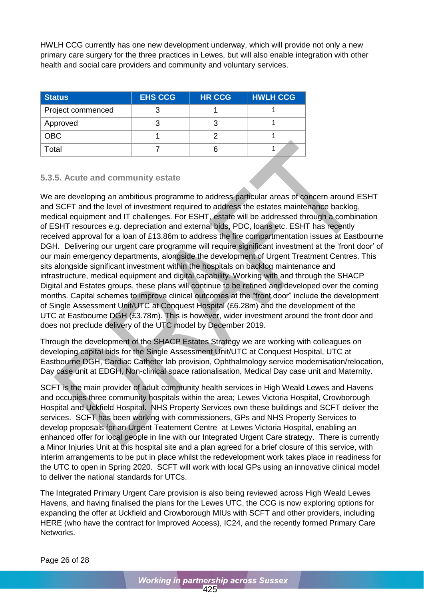HWLH CCG currently has one new development underway, which will provide not only a new primary care surgery for the three practices in Lewes, but will also enable integration with other health and social care providers and community and voluntary services.

| <b>Status</b>     | <b>EHS CCG</b> | <b>HR CCG</b> | <b>HWLH CCG</b> |
|-------------------|----------------|---------------|-----------------|
| Project commenced |                |               |                 |
| Approved          |                |               |                 |
| OBC               |                |               |                 |
| Total             |                |               |                 |

### <span id="page-28-0"></span>**5.3.5. Acute and community estate**

We are developing an ambitious programme to address particular areas of concern around ESHT and SCFT and the level of investment required to address the estates maintenance backlog, medical equipment and IT challenges. For ESHT, estate will be addressed through a combination of ESHT resources e.g. depreciation and external bids, PDC, loans etc. ESHT has recently received approval for a loan of £13.86m to address the fire compartmentation issues at Eastbourne DGH. Delivering our urgent care programme will require significant investment at the 'front door' of our main emergency departments, alongside the development of Urgent Treatment Centres. This sits alongside significant investment within the hospitals on backlog maintenance and infrastructure, medical equipment and digital capability. Working with and through the SHACP Digital and Estates groups, these plans will continue to be refined and developed over the coming months. Capital schemes to improve clinical outcomes at the "front door" include the development of Single Assessment Unit/UTC at Conquest Hospital (£6.28m) and the development of the UTC at Eastbourne DGH (£3.78m). This is however, wider investment around the front door and does not preclude delivery of the UTC model by December 2019.

Through the development of the SHACP Estates Strategy we are working with colleagues on developing capital bids for the Single Assessment Unit/UTC at Conquest Hospital, UTC at Eastbourne DGH, Cardiac Catheter lab provision, Ophthalmology service modernisation/relocation, Day case unit at EDGH, Non-clinical space rationalisation, Medical Day case unit and Maternity.

SCFT is the main provider of adult community health services in High Weald Lewes and Havens and occupies three community hospitals within the area; Lewes Victoria Hospital, Crowborough Hospital and Uckfield Hospital. NHS Property Services own these buildings and SCFT deliver the services. SCFT has been working with commissioners, GPs and NHS Property Services to develop proposals for an Urgent Teatement Centre at Lewes Victoria Hospital, enabling an enhanced offer for local people in line with our Integrated Urgent Care strategy. There is currently a Minor Injuries Unit at this hospital site and a plan agreed for a brief closure of this service, with interim arrangements to be put in place whilst the redevelopment work takes place in readiness for the UTC to open in Spring 2020. SCFT will work with local GPs using an innovative clinical model to deliver the national standards for UTCs.

The Integrated Primary Urgent Care provision is also being reviewed across High Weald Lewes Havens, and having finalised the plans for the Lewes UTC, the CCG is now exploring options for expanding the offer at Uckfield and Crowborough MIUs with SCFT and other providers, including HERE (who have the contract for Improved Access), IC24, and the recently formed Primary Care Networks.

Page 26 of 28